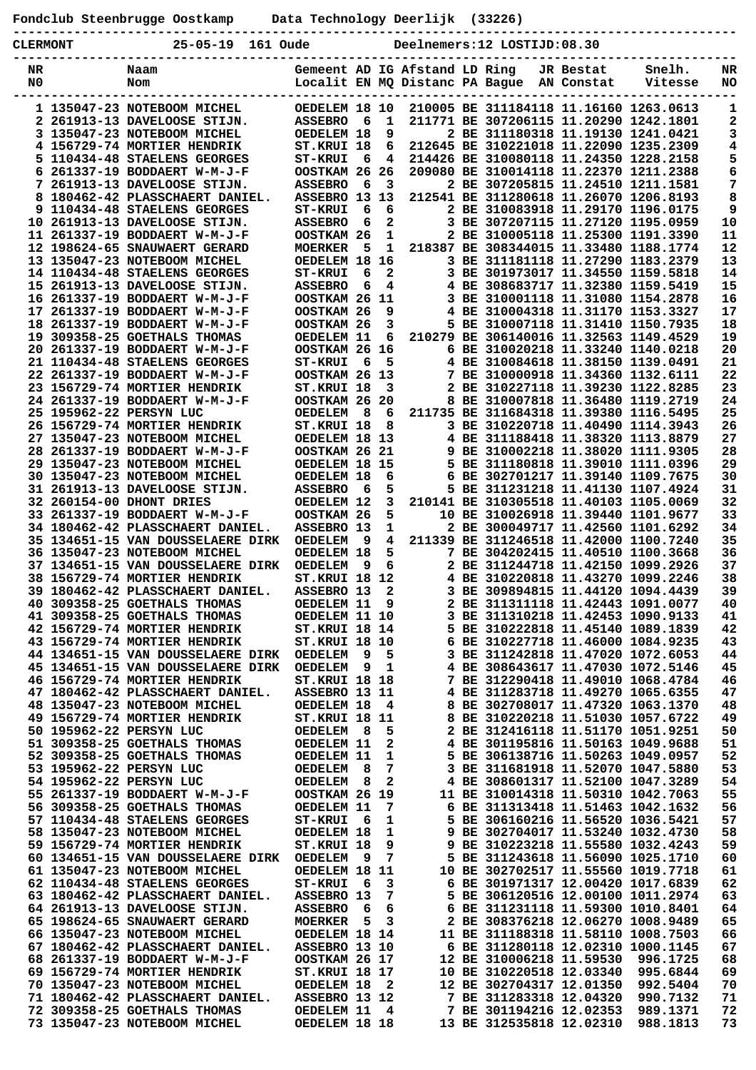**Fondclub Steenbrugge Oostkamp Data Technology Deerlijk (33226)**

|  | . |
|--|---|

| <b>CLERMONT</b> | $25 - 05 - 19$                                                    | 161 Oude |                                  |     |              |  | Deelnemers:12 LOSTIJD:08.30               |                          |                                                                             |          |
|-----------------|-------------------------------------------------------------------|----------|----------------------------------|-----|--------------|--|-------------------------------------------|--------------------------|-----------------------------------------------------------------------------|----------|
| NR<br>N0        | Naam<br>Nom                                                       |          | Gemeent AD IG Afstand LD Ring    |     |              |  | Localit EN MQ Distanc PA Bague AN Constat | JR Bestat                | Snelh.<br>Vitesse                                                           | NR<br>NO |
|                 | 1 135047-23 NOTEBOOM MICHEL                                       |          | OEDELEM 18 10                    |     |              |  |                                           |                          | 210005 BE 311184118 11.16160 1263.0613                                      | 1        |
|                 | 2 261913-13 DAVELOOSE STIJN.                                      |          | <b>ASSEBRO</b>                   | 6   | 1            |  |                                           |                          | 211771 BE 307206115 11.20290 1242.1801                                      | 2        |
|                 | 3 135047-23 NOTEBOOM MICHEL                                       |          | OEDELEM 18                       |     | 9            |  |                                           |                          | 2 BE 311180318 11.19130 1241.0421                                           | з        |
|                 | 4 156729-74 MORTIER HENDRIK                                       |          | ST.KRUI 18                       |     | 6            |  |                                           |                          | 212645 BE 310221018 11.22090 1235.2309                                      | 4        |
|                 | 5 110434-48 STAELENS GEORGES                                      |          | <b>ST-KRUI</b>                   | 6   | 4            |  |                                           |                          | 214426 BE 310080118 11.24350 1228.2158                                      | 5        |
| 6               | 261337-19 BODDAERT W-M-J-F                                        |          | OOSTKAM 26                       |     | 26           |  |                                           |                          | 209080 BE 310014118 11.22370 1211.2388                                      | 6        |
|                 | 7 261913-13 DAVELOOSE STIJN.                                      |          | <b>ASSEBRO</b>                   | 6   | $\mathbf{3}$ |  |                                           |                          | 2 BE 307205815 11.24510 1211.1581                                           | 7        |
| 9               | 8 180462-42 PLASSCHAERT DANIEL.<br>110434-48 STAELENS GEORGES     |          | ASSEBRO 13 13                    | 6   | 6            |  |                                           |                          | 212541 BE 311280618 11.26070 1206.8193<br>2 BE 310083918 11.29170 1196.0175 | 8<br>9   |
|                 | 10 261913-13 DAVELOOSE STIJN.                                     |          | <b>ST-KRUI</b><br><b>ASSEBRO</b> | 6   | $\mathbf{2}$ |  |                                           |                          | 3 BE 307207115 11.27120 1195.0959                                           | 10       |
|                 | 11 261337-19 BODDAERT W-M-J-F                                     |          | OOSTKAM 26                       |     | $\mathbf 1$  |  |                                           |                          | 2 BE 310005118 11.25300 1191.3390                                           | 11       |
|                 | 12 198624-65 SNAUWAERT GERARD                                     |          | <b>MOERKER</b>                   | 5   | 1            |  |                                           |                          | 218387 BE 308344015 11.33480 1188.1774                                      | 12       |
|                 | 13 135047-23 NOTEBOOM MICHEL                                      |          | OEDELEM 18                       |     | 16           |  |                                           |                          | 3 BE 311181118 11.27290 1183.2379                                           | 13       |
|                 | 14 110434-48 STAELENS GEORGES                                     |          | <b>ST-KRUI</b>                   | 6   | $\mathbf{2}$ |  |                                           |                          | 3 BE 301973017 11.34550 1159.5818                                           | 14       |
|                 | 15 261913-13 DAVELOOSE STIJN.                                     |          | <b>ASSEBRO</b>                   | 6   | 4            |  |                                           |                          | 4 BE 308683717 11.32380 1159.5419                                           | 15       |
|                 | 16 261337-19 BODDAERT W-M-J-F                                     |          | OOSTKAM 26 11                    |     |              |  |                                           |                          | 3 BE 310001118 11.31080 1154.2878                                           | 16       |
|                 | 17 261337-19 BODDAERT W-M-J-F                                     |          | OOSTKAM 26                       |     | 9            |  |                                           |                          | 4 BE 310004318 11.31170 1153.3327                                           | 17       |
|                 | 18 261337-19 BODDAERT W-M-J-F                                     |          | OOSTKAM 26                       |     | 3            |  |                                           |                          | 5 BE 310007118 11.31410 1150.7935                                           | 18       |
|                 | 19 309358-25 GOETHALS THOMAS                                      |          | OEDELEM 11                       |     | 6            |  |                                           |                          | 210279 BE 306140016 11.32563 1149.4529                                      | 19       |
|                 | 20 261337-19 BODDAERT W-M-J-F                                     |          | OOSTKAM 26                       |     | 16           |  |                                           |                          | 6 BE 310020218 11.33240 1140.0218                                           | 20       |
|                 | 21 110434-48 STAELENS GEORGES<br>22 261337-19 BODDAERT W-M-J-F    |          | <b>ST-KRUI</b><br>OOSTKAM 26 13  | 6   | 5            |  |                                           |                          | 4 BE 310084618 11.38150 1139.0491<br>7 BE 310000918 11.34360 1132.6111      | 21<br>22 |
|                 | 23 156729-74 MORTIER HENDRIK                                      |          | ST.KRUI 18                       |     | 3            |  |                                           |                          | 2 BE 310227118 11.39230 1122.8285                                           | 23       |
|                 | 24 261337-19 BODDAERT W-M-J-F                                     |          | OOSTKAM 26 20                    |     |              |  |                                           |                          | 8 BE 310007818 11.36480 1119.2719                                           | 24       |
|                 | 25 195962-22 PERSYN LUC                                           |          | <b>OEDELEM</b>                   | 8   | 6            |  |                                           |                          | 211735 BE 311684318 11.39380 1116.5495                                      | 25       |
|                 | 26 156729-74 MORTIER HENDRIK                                      |          | ST.KRUI 18                       |     | 8            |  |                                           |                          | 3 BE 310220718 11.40490 1114.3943                                           | 26       |
|                 | 27 135047-23 NOTEBOOM MICHEL                                      |          | OEDELEM 18 13                    |     |              |  |                                           |                          | 4 BE 311188418 11.38320 1113.8879                                           | 27       |
|                 | 28 261337-19 BODDAERT W-M-J-F                                     |          | OOSTKAM 26 21                    |     |              |  |                                           |                          | 9 BE 310002218 11.38020 1111.9305                                           | 28       |
|                 | 29 135047-23 NOTEBOOM MICHEL                                      |          | OEDELEM 18 15                    |     |              |  |                                           |                          | 5 BE 311180818 11.39010 1111.0396                                           | 29       |
|                 | 30 135047-23 NOTEBOOM MICHEL                                      |          | OEDELEM 18                       |     | 6            |  |                                           |                          | 6 BE 302701217 11.39140 1109.7675                                           | 30       |
|                 | 31 261913-13 DAVELOOSE STIJN.                                     |          | <b>ASSEBRO</b>                   | 6   | 5            |  |                                           |                          | 5 BE 311231218 11.41130 1107.4924                                           | 31       |
|                 | 32 260154-00 DHONT DRIES                                          |          | OEDELEM 12                       |     | 3            |  |                                           |                          | 210141 BE 310305518 11.40103 1105.0069                                      | 32       |
|                 | 33 261337-19 BODDAERT W-M-J-F                                     |          | OOSTKAM 26                       |     | 5            |  |                                           |                          | 10 BE 310026918 11.39440 1101.9677                                          | 33       |
|                 | 34 180462-42 PLASSCHAERT DANIEL.                                  |          | ASSEBRO 13                       |     | 1            |  |                                           |                          | 2 BE 300049717 11.42560 1101.6292                                           | 34       |
|                 | <b>35 134651-15 VAN DOUSSELAERE DIRK</b>                          |          | OEDELEM                          | - 9 | 4            |  |                                           |                          | 211339 BE 311246518 11.42000 1100.7240                                      | 35       |
|                 | 36 135047-23 NOTEBOOM MICHEL<br>37 134651-15 VAN DOUSSELAERE DIRK |          | OEDELEM 18                       | 9   | 5<br>6       |  |                                           |                          | 7 BE 304202415 11.40510 1100.3668<br>2 BE 311244718 11.42150 1099.2926      | 36<br>37 |
|                 | 38 156729-74 MORTIER HENDRIK                                      |          | OEDELEM<br>ST.KRUI 18            |     | 12           |  |                                           |                          | 4 BE 310220818 11.43270 1099.2246                                           | 38       |
|                 | <b>39 180462-42 PLASSCHAERT DANIEL.</b>                           |          | ASSEBRO 13                       |     | 2            |  |                                           |                          | 3 BE 309894815 11.44120 1094.4439                                           | 39       |
|                 | <b>40 309358-25 GOETHALS THOMAS</b>                               |          | OEDELEM 11                       |     | 9            |  |                                           |                          | 2 BE 311311118 11.42443 1091.0077                                           | 40       |
|                 | 41 309358-25 GOETHALS THOMAS                                      |          | OEDELEM 11 10                    |     |              |  |                                           |                          | 3 BE 311310218 11.42453 1090.9133                                           | 41       |
|                 | 42 156729-74 MORTIER HENDRIK                                      |          | <b>ST.KRUI 18 14</b>             |     |              |  |                                           |                          | 5 BE 310222818 11.45140 1089.1839                                           | 42       |
|                 | 43 156729-74 MORTIER HENDRIK                                      |          | <b>ST.KRUI 18 10</b>             |     |              |  |                                           |                          | 6 BE 310227718 11.46000 1084.9235                                           | 43       |
|                 | 44 134651-15 VAN DOUSSELAERE DIRK                                 |          | <b>OEDELEM</b>                   | 9   | 5            |  |                                           |                          | 3 BE 311242818 11.47020 1072.6053                                           | 44       |
|                 | 45 134651-15 VAN DOUSSELAERE DIRK                                 |          | <b>OEDELEM</b>                   | - 9 | 1            |  |                                           |                          | 4 BE 308643617 11.47030 1072.5146                                           | 45       |
|                 | 46 156729-74 MORTIER HENDRIK                                      |          | <b>ST.KRUI 18 18</b>             |     |              |  |                                           |                          | 7 BE 312290418 11.49010 1068.4784                                           | 46       |
|                 | 47 180462-42 PLASSCHAERT DANIEL.                                  |          | ASSEBRO 13 11                    |     |              |  |                                           |                          | 4 BE 311283718 11.49270 1065.6355                                           | 47       |
|                 | 48 135047-23 NOTEBOOM MICHEL                                      |          | OEDELEM 18                       |     | 4            |  |                                           |                          | 8 BE 302708017 11.47320 1063.1370                                           | 48       |
|                 | 49 156729-74 MORTIER HENDRIK<br>50 195962-22 PERSYN LUC           |          | ST.KRUI 18 11                    |     | 5            |  |                                           |                          | 8 BE 310220218 11.51030 1057.6722<br>2 BE 312416118 11.51170 1051.9251      | 49<br>50 |
|                 | 51 309358-25 GOETHALS THOMAS                                      |          | OEDELEM 8<br>OEDELEM 11          |     | 2            |  |                                           |                          | 4 BE 301195816 11.50163 1049.9688                                           | 51       |
|                 | 52 309358-25 GOETHALS THOMAS                                      |          | OEDELEM 11                       |     | 1            |  |                                           |                          | 5 BE 306138716 11.50263 1049.0957                                           | 52       |
|                 | 53 195962-22 PERSYN LUC                                           |          | OEDELEM                          | - 8 | 7            |  |                                           |                          | 3 BE 311681918 11.52070 1047.5880                                           | 53       |
|                 | 54 195962-22 PERSYN LUC                                           |          | OEDELEM                          | 8   | 2            |  |                                           |                          | 4 BE 308601317 11.52100 1047.3289                                           | 54       |
|                 | 55 261337-19 BODDAERT W-M-J-F                                     |          | OOSTKAM 26 19                    |     |              |  |                                           |                          | 11 BE 310014318 11.50310 1042.7063                                          | 55       |
|                 | 56 309358-25 GOETHALS THOMAS                                      |          | OEDELEM 11                       |     | 7            |  |                                           |                          | 6 BE 311313418 11.51463 1042.1632                                           | 56       |
|                 | 57 110434-48 STAELENS GEORGES                                     |          | <b>ST-KRUI</b>                   | - 6 | 1            |  |                                           |                          | 5 BE 306160216 11.56520 1036.5421                                           | 57       |
|                 | 58 135047-23 NOTEBOOM MICHEL                                      |          | OEDELEM 18                       |     | 1            |  |                                           |                          | 9 BE 302704017 11.53240 1032.4730                                           | 58       |
|                 | 59 156729-74 MORTIER HENDRIK                                      |          | ST.KRUI 18                       |     | 9            |  |                                           |                          | 9 BE 310223218 11.55580 1032.4243                                           | 59       |
|                 | 60 134651-15 VAN DOUSSELAERE DIRK                                 |          | OEDELEM                          | - 9 | 7            |  |                                           |                          | 5 BE 311243618 11.56090 1025.1710                                           | 60       |
|                 | 61 135047-23 NOTEBOOM MICHEL                                      |          | OEDELEM 18 11                    |     |              |  |                                           |                          | 10 BE 302702517 11.55560 1019.7718                                          | 61       |
|                 | 62 110434-48 STAELENS GEORGES<br>63 180462-42 PLASSCHAERT DANIEL. |          | <b>ST-KRUI</b>                   | - 6 | 3            |  |                                           |                          | 6 BE 301971317 12.00420 1017.6839<br>5 BE 306120516 12.00100 1011.2974      | 62       |
|                 | 64 261913-13 DAVELOOSE STIJN.                                     |          | ASSEBRO 13<br><b>ASSEBRO</b>     | 6   | 7<br>6       |  |                                           |                          | 6 BE 311231118 11.59300 1010.8401                                           | 63<br>64 |
|                 | 65 198624-65 SNAUWAERT GERARD                                     |          | <b>MOERKER</b>                   | 5   | 3            |  |                                           |                          | 2 BE 308376218 12.06270 1008.9489                                           | 65       |
|                 | 66 135047-23 NOTEBOOM MICHEL                                      |          | OEDELEM 18 14                    |     |              |  |                                           |                          | 11 BE 311188318 11.58110 1008.7503                                          | 66       |
|                 | 67 180462-42 PLASSCHAERT DANIEL.                                  |          | ASSEBRO 13 10                    |     |              |  |                                           |                          | 6 BE 311280118 12.02310 1000.1145                                           | 67       |
|                 | 68 261337-19 BODDAERT W-M-J-F                                     |          | OOSTKAM 26 17                    |     |              |  |                                           | 12 BE 310006218 11.59530 | 996.1725                                                                    | 68       |
|                 | 69 156729-74 MORTIER HENDRIK                                      |          | <b>ST.KRUI 18 17</b>             |     |              |  |                                           | 10 BE 310220518 12.03340 | 995.6844                                                                    | 69       |
|                 | 70 135047-23 NOTEBOOM MICHEL                                      |          | OEDELEM 18                       |     | 2            |  |                                           | 12 BE 302704317 12.01350 | 992.5404                                                                    | 70       |
|                 | 71 180462-42 PLASSCHAERT DANIEL.                                  |          | ASSEBRO 13 12                    |     |              |  |                                           | 7 BE 311283318 12.04320  | 990.7132                                                                    | 71       |
|                 | 72 309358-25 GOETHALS THOMAS                                      |          | OEDELEM 11                       |     | 4            |  |                                           | 7 BE 301194216 12.02353  | 989.1371                                                                    | 72       |
|                 | 73 135047-23 NOTEBOOM MICHEL                                      |          | OEDELEM 18 18                    |     |              |  |                                           | 13 BE 312535818 12.02310 | 988.1813                                                                    | 73       |
|                 |                                                                   |          |                                  |     |              |  |                                           |                          |                                                                             |          |